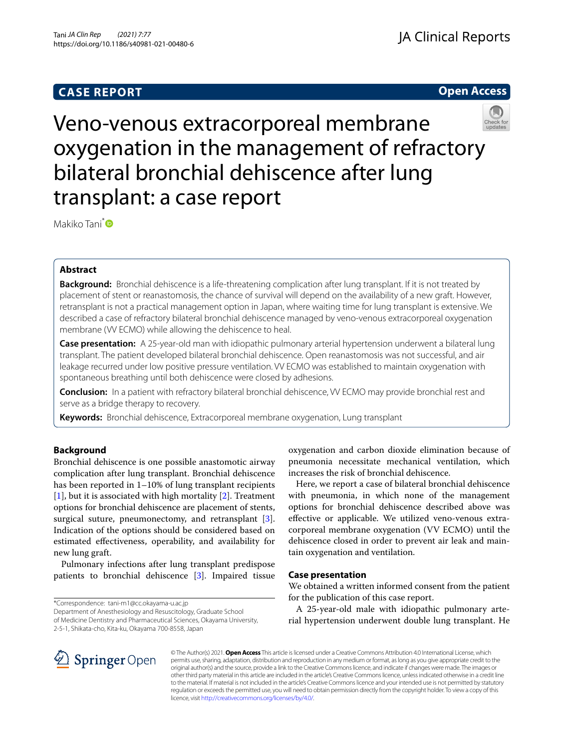# **CASE REPORT**

# **Open Access**



# Veno-venous extracorporeal membrane oxygenation in the management of refractory bilateral bronchial dehiscence after lung transplant: a case report

Makiko Tani<sup>[\\*](http://orcid.org/0000-0003-0265-8247)</sup>

# **Abstract**

**Background:** Bronchial dehiscence is a life-threatening complication after lung transplant. If it is not treated by placement of stent or reanastomosis, the chance of survival will depend on the availability of a new graft. However, retransplant is not a practical management option in Japan, where waiting time for lung transplant is extensive. We described a case of refractory bilateral bronchial dehiscence managed by veno-venous extracorporeal oxygenation membrane (VV ECMO) while allowing the dehiscence to heal.

**Case presentation:** A 25-year-old man with idiopathic pulmonary arterial hypertension underwent a bilateral lung transplant. The patient developed bilateral bronchial dehiscence. Open reanastomosis was not successful, and air leakage recurred under low positive pressure ventilation. VV ECMO was established to maintain oxygenation with spontaneous breathing until both dehiscence were closed by adhesions.

**Conclusion:** In a patient with refractory bilateral bronchial dehiscence, VV ECMO may provide bronchial rest and serve as a bridge therapy to recovery.

**Keywords:** Bronchial dehiscence, Extracorporeal membrane oxygenation, Lung transplant

# **Background**

Bronchial dehiscence is one possible anastomotic airway complication after lung transplant. Bronchial dehiscence has been reported in 1–10% of lung transplant recipients [[1\]](#page-3-0), but it is associated with high mortality [[2\]](#page-3-1). Treatment options for bronchial dehiscence are placement of stents, surgical suture, pneumonectomy, and retransplant [\[3](#page-3-2)]. Indication of the options should be considered based on estimated efectiveness, operability, and availability for new lung graft.

Pulmonary infections after lung transplant predispose patients to bronchial dehiscence [[3\]](#page-3-2). Impaired tissue

\*Correspondence: tani-m1@cc.okayama-u.ac.jp

Department of Anesthesiology and Resuscitology, Graduate School of Medicine Dentistry and Pharmaceutical Sciences, Okayama University,

2-5-1, Shikata-cho, Kita-ku, Okayama 700-8558, Japan

oxygenation and carbon dioxide elimination because of pneumonia necessitate mechanical ventilation, which increases the risk of bronchial dehiscence.

Here, we report a case of bilateral bronchial dehiscence with pneumonia, in which none of the management options for bronchial dehiscence described above was efective or applicable. We utilized veno-venous extracorporeal membrane oxygenation (VV ECMO) until the dehiscence closed in order to prevent air leak and maintain oxygenation and ventilation.

## **Case presentation**

We obtained a written informed consent from the patient for the publication of this case report.

A 25-year-old male with idiopathic pulmonary arterial hypertension underwent double lung transplant. He



© The Author(s) 2021. **Open Access** This article is licensed under a Creative Commons Attribution 4.0 International License, which permits use, sharing, adaptation, distribution and reproduction in any medium or format, as long as you give appropriate credit to the original author(s) and the source, provide a link to the Creative Commons licence, and indicate if changes were made. The images or other third party material in this article are included in the article's Creative Commons licence, unless indicated otherwise in a credit line to the material. If material is not included in the article's Creative Commons licence and your intended use is not permitted by statutory regulation or exceeds the permitted use, you will need to obtain permission directly from the copyright holder. To view a copy of this licence, visit [http://creativecommons.org/licenses/by/4.0/.](http://creativecommons.org/licenses/by/4.0/)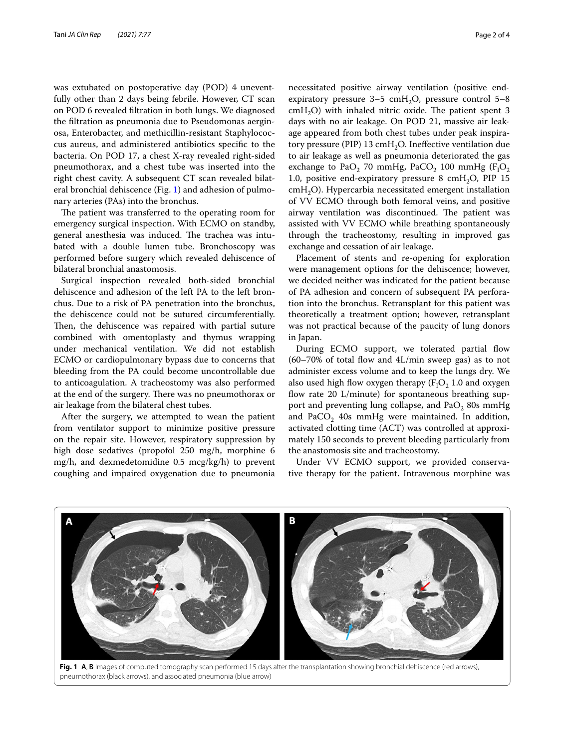was extubated on postoperative day (POD) 4 uneventfully other than 2 days being febrile. However, CT scan on POD 6 revealed fltration in both lungs. We diagnosed the fltration as pneumonia due to Pseudomonas aerginosa, Enterobacter, and methicillin-resistant Staphylococcus aureus, and administered antibiotics specifc to the bacteria. On POD 17, a chest X-ray revealed right-sided pneumothorax, and a chest tube was inserted into the right chest cavity. A subsequent CT scan revealed bilateral bronchial dehiscence (Fig. [1\)](#page-1-0) and adhesion of pulmonary arteries (PAs) into the bronchus.

The patient was transferred to the operating room for emergency surgical inspection. With ECMO on standby, general anesthesia was induced. The trachea was intubated with a double lumen tube. Bronchoscopy was performed before surgery which revealed dehiscence of bilateral bronchial anastomosis.

Surgical inspection revealed both-sided bronchial dehiscence and adhesion of the left PA to the left bronchus. Due to a risk of PA penetration into the bronchus, the dehiscence could not be sutured circumferentially. Then, the dehiscence was repaired with partial suture combined with omentoplasty and thymus wrapping under mechanical ventilation. We did not establish ECMO or cardiopulmonary bypass due to concerns that bleeding from the PA could become uncontrollable due to anticoagulation. A tracheostomy was also performed at the end of the surgery. There was no pneumothorax or air leakage from the bilateral chest tubes.

After the surgery, we attempted to wean the patient from ventilator support to minimize positive pressure on the repair site. However, respiratory suppression by high dose sedatives (propofol 250 mg/h, morphine 6 mg/h, and dexmedetomidine 0.5 mcg/kg/h) to prevent coughing and impaired oxygenation due to pneumonia expiratory pressure  $3-5$  cmH<sub>2</sub>O, pressure control  $5-8$  $cmH<sub>2</sub>O$ ) with inhaled nitric oxide. The patient spent 3 days with no air leakage. On POD 21, massive air leakage appeared from both chest tubes under peak inspiratory pressure (PIP) 13  $\text{cm}H_2\text{O}$ . Ineffective ventilation due to air leakage as well as pneumonia deteriorated the gas exchange to  $PaO<sub>2</sub>$  70 mmHg,  $PaCO<sub>2</sub>$  100 mmHg ( $F<sub>1</sub>O<sub>2</sub>$ 1.0, positive end-expiratory pressure 8 cmH<sub>2</sub>O, PIP 15 cmH<sub>2</sub>O). Hypercarbia necessitated emergent installation of VV ECMO through both femoral veins, and positive airway ventilation was discontinued. The patient was assisted with VV ECMO while breathing spontaneously through the tracheostomy, resulting in improved gas exchange and cessation of air leakage.

Placement of stents and re-opening for exploration were management options for the dehiscence; however, we decided neither was indicated for the patient because of PA adhesion and concern of subsequent PA perforation into the bronchus. Retransplant for this patient was theoretically a treatment option; however, retransplant was not practical because of the paucity of lung donors in Japan.

During ECMO support, we tolerated partial flow  $(60-70\%$  of total flow and  $4L/min$  sweep gas) as to not administer excess volume and to keep the lungs dry. We also used high flow oxygen therapy  $(F_1O_2)$  1.0 and oxygen flow rate  $20$  L/minute) for spontaneous breathing support and preventing lung collapse, and  $PaO<sub>2</sub>$  80s mmHg and PaCO<sub>2</sub> 40s mmHg were maintained. In addition, activated clotting time (ACT) was controlled at approximately 150 seconds to prevent bleeding particularly from the anastomosis site and tracheostomy.

Under VV ECMO support, we provided conservative therapy for the patient. Intravenous morphine was



<span id="page-1-0"></span>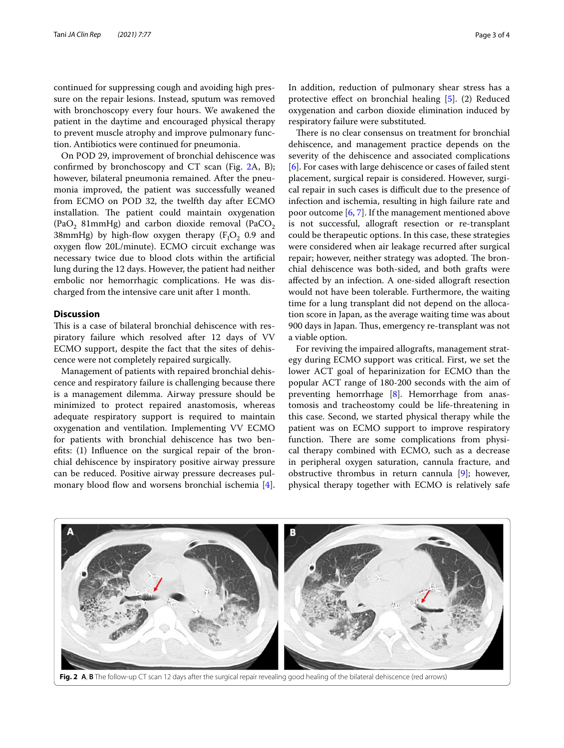continued for suppressing cough and avoiding high pressure on the repair lesions. Instead, sputum was removed with bronchoscopy every four hours. We awakened the patient in the daytime and encouraged physical therapy to prevent muscle atrophy and improve pulmonary function. Antibiotics were continued for pneumonia.

On POD 29, improvement of bronchial dehiscence was confrmed by bronchoscopy and CT scan (Fig. [2](#page-2-0)A, B); however, bilateral pneumonia remained. After the pneumonia improved, the patient was successfully weaned from ECMO on POD 32, the twelfth day after ECMO installation. The patient could maintain oxygenation (PaO<sub>2</sub> 81mmHg) and carbon dioxide removal (PaCO<sub>2</sub> 38 $m$ mHg) by high-flow oxygen therapy ( $F_1O_2$  0.9 and oxygen flow 20L/minute). ECMO circuit exchange was necessary twice due to blood clots within the artifcial lung during the 12 days. However, the patient had neither embolic nor hemorrhagic complications. He was discharged from the intensive care unit after 1 month.

## **Discussion**

This is a case of bilateral bronchial dehiscence with respiratory failure which resolved after 12 days of VV ECMO support, despite the fact that the sites of dehiscence were not completely repaired surgically.

Management of patients with repaired bronchial dehiscence and respiratory failure is challenging because there is a management dilemma. Airway pressure should be minimized to protect repaired anastomosis, whereas adequate respiratory support is required to maintain oxygenation and ventilation. Implementing VV ECMO for patients with bronchial dehiscence has two benefts: (1) Infuence on the surgical repair of the bronchial dehiscence by inspiratory positive airway pressure can be reduced. Positive airway pressure decreases pul-monary blood flow and worsens bronchial ischemia [\[4](#page-3-3)]. In addition, reduction of pulmonary shear stress has a protective efect on bronchial healing [[5\]](#page-3-4). (2) Reduced oxygenation and carbon dioxide elimination induced by respiratory failure were substituted.

There is no clear consensus on treatment for bronchial dehiscence, and management practice depends on the severity of the dehiscence and associated complications [[6\]](#page-3-5). For cases with large dehiscence or cases of failed stent placement, surgical repair is considered. However, surgical repair in such cases is difficult due to the presence of infection and ischemia, resulting in high failure rate and poor outcome [[6,](#page-3-5) [7\]](#page-3-6). If the management mentioned above is not successful, allograft resection or re-transplant could be therapeutic options. In this case, these strategies were considered when air leakage recurred after surgical repair; however, neither strategy was adopted. The bronchial dehiscence was both-sided, and both grafts were afected by an infection. A one-sided allograft resection would not have been tolerable. Furthermore, the waiting time for a lung transplant did not depend on the allocation score in Japan, as the average waiting time was about 900 days in Japan. Thus, emergency re-transplant was not a viable option.

For reviving the impaired allografts, management strategy during ECMO support was critical. First, we set the lower ACT goal of heparinization for ECMO than the popular ACT range of 180-200 seconds with the aim of preventing hemorrhage [[8\]](#page-3-7). Hemorrhage from anastomosis and tracheostomy could be life-threatening in this case. Second, we started physical therapy while the patient was on ECMO support to improve respiratory function. There are some complications from physical therapy combined with ECMO, such as a decrease in peripheral oxygen saturation, cannula fracture, and obstructive thrombus in return cannula [[9](#page-3-8)]; however, physical therapy together with ECMO is relatively safe



<span id="page-2-0"></span>**Fig. 2 A**, **B** The follow-up CT scan 12 days after the surgical repair revealing good healing of the bilateral dehiscence (red arrows)